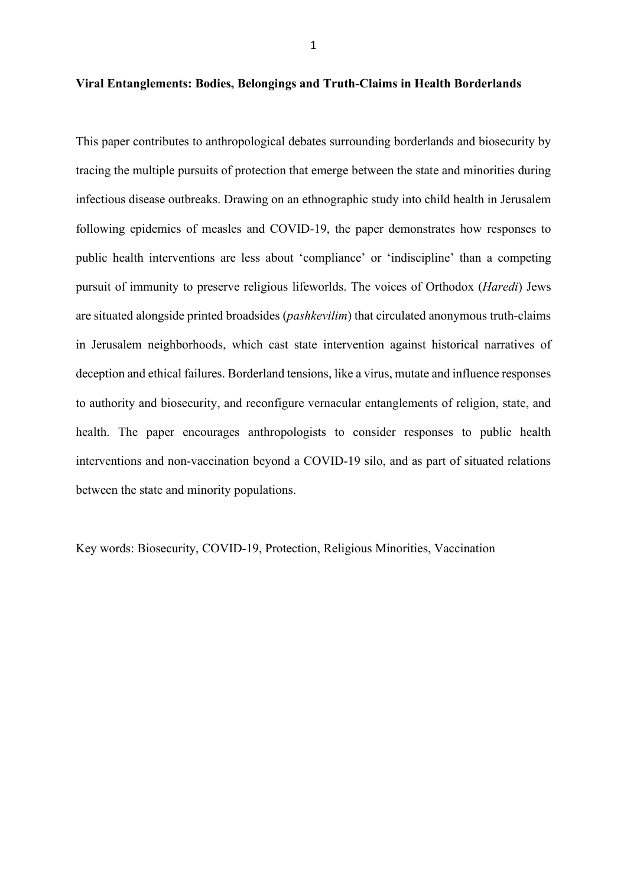## **Viral Entanglements: Bodies, Belongings and Truth-Claims in Health Borderlands**

This paper contributes to anthropological debates surrounding borderlands and biosecurity by tracing the multiple pursuits of protection that emerge between the state and minorities during infectious disease outbreaks. Drawing on an ethnographic study into child health in Jerusalem following epidemics of measles and COVID-19, the paper demonstrates how responses to public health interventions are less about 'compliance' or 'indiscipline' than a competing pursuit of immunity to preserve religious lifeworlds. The voices of Orthodox (*Haredi*) Jews are situated alongside printed broadsides (*pashkevilim*) that circulated anonymous truth-claims in Jerusalem neighborhoods, which cast state intervention against historical narratives of deception and ethical failures. Borderland tensions, like a virus, mutate and influence responses to authority and biosecurity, and reconfigure vernacular entanglements of religion, state, and health. The paper encourages anthropologists to consider responses to public health interventions and non-vaccination beyond a COVID-19 silo, and as part of situated relations between the state and minority populations.

Key words: Biosecurity, COVID-19, Protection, Religious Minorities, Vaccination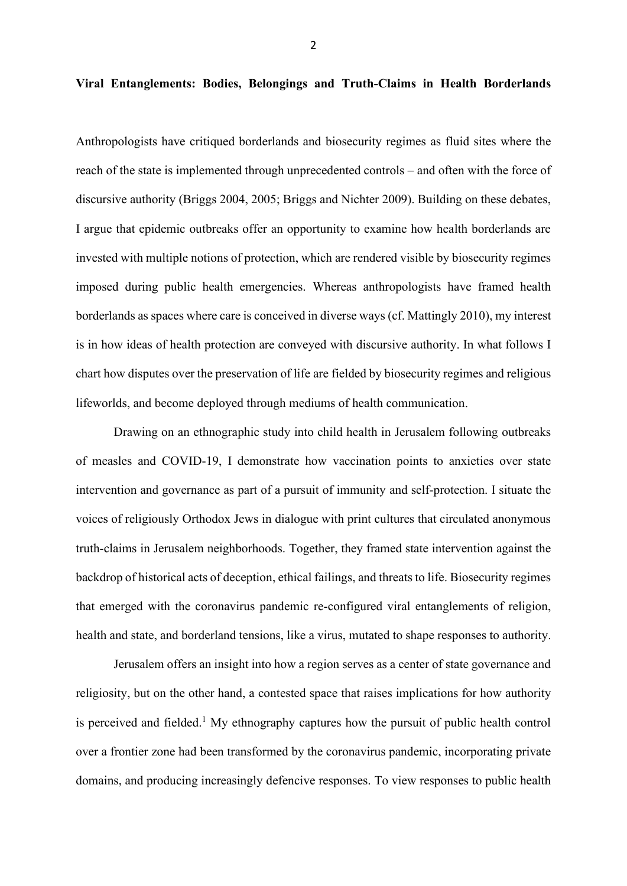Anthropologists have critiqued borderlands and biosecurity regimes as fluid sites where the reach of the state is implemented through unprecedented controls – and often with the force of discursive authority (Briggs 2004, 2005; Briggs and Nichter 2009). Building on these debates, I argue that epidemic outbreaks offer an opportunity to examine how health borderlands are invested with multiple notions of protection, which are rendered visible by biosecurity regimes imposed during public health emergencies. Whereas anthropologists have framed health borderlands as spaces where care is conceived in diverse ways (cf. Mattingly 2010), my interest is in how ideas of health protection are conveyed with discursive authority. In what follows I chart how disputes over the preservation of life are fielded by biosecurity regimes and religious lifeworlds, and become deployed through mediums of health communication.

Drawing on an ethnographic study into child health in Jerusalem following outbreaks of measles and COVID-19, I demonstrate how vaccination points to anxieties over state intervention and governance as part of a pursuit of immunity and self-protection. I situate the voices of religiously Orthodox Jews in dialogue with print cultures that circulated anonymous truth-claims in Jerusalem neighborhoods. Together, they framed state intervention against the backdrop of historical acts of deception, ethical failings, and threats to life. Biosecurity regimes that emerged with the coronavirus pandemic re-configured viral entanglements of religion, health and state, and borderland tensions, like a virus, mutated to shape responses to authority.

Jerusalem offers an insight into how a region serves as a center of state governance and religiosity, but on the other hand, a contested space that raises implications for how authority is perceived and fielded. <sup>1</sup> My ethnography captures how the pursuit of public health control over a frontier zone had been transformed by the coronavirus pandemic, incorporating private domains, and producing increasingly defencive responses. To view responses to public health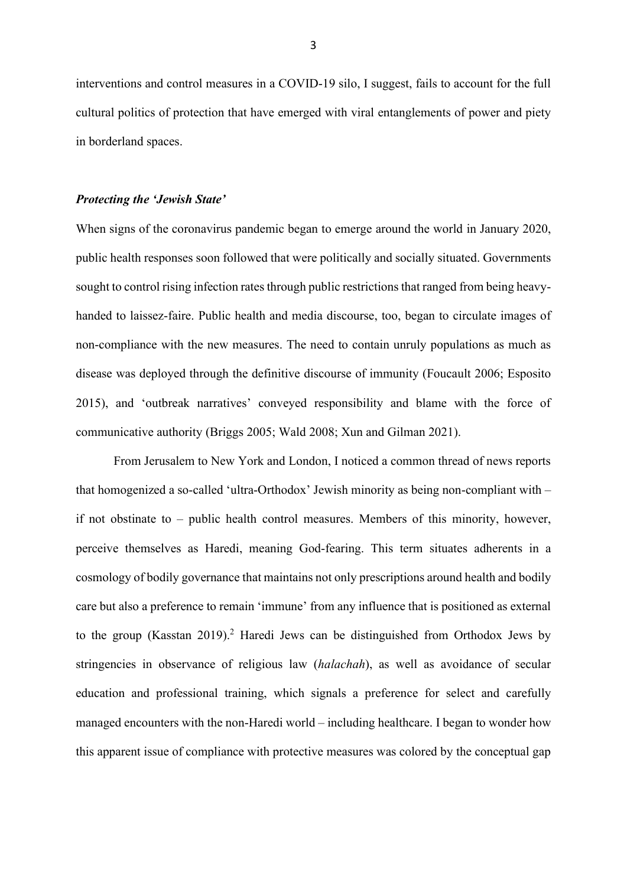interventions and control measures in a COVID-19 silo, I suggest, fails to account for the full cultural politics of protection that have emerged with viral entanglements of power and piety in borderland spaces.

### *Protecting the 'Jewish State'*

When signs of the coronavirus pandemic began to emerge around the world in January 2020, public health responses soon followed that were politically and socially situated. Governments sought to control rising infection rates through public restrictions that ranged from being heavyhanded to laissez-faire. Public health and media discourse, too, began to circulate images of non-compliance with the new measures. The need to contain unruly populations as much as disease was deployed through the definitive discourse of immunity (Foucault 2006; Esposito 2015), and 'outbreak narratives' conveyed responsibility and blame with the force of communicative authority (Briggs 2005; Wald 2008; Xun and Gilman 2021).

From Jerusalem to New York and London, I noticed a common thread of news reports that homogenized a so-called 'ultra-Orthodox' Jewish minority as being non-compliant with – if not obstinate to – public health control measures. Members of this minority, however, perceive themselves as Haredi, meaning God-fearing. This term situates adherents in a cosmology of bodily governance that maintains not only prescriptions around health and bodily care but also a preference to remain 'immune' from any influence that is positioned as external to the group (Kasstan 2019). <sup>2</sup> Haredi Jews can be distinguished from Orthodox Jews by stringencies in observance of religious law (*halachah*), as well as avoidance of secular education and professional training, which signals a preference for select and carefully managed encounters with the non-Haredi world – including healthcare. I began to wonder how this apparent issue of compliance with protective measures was colored by the conceptual gap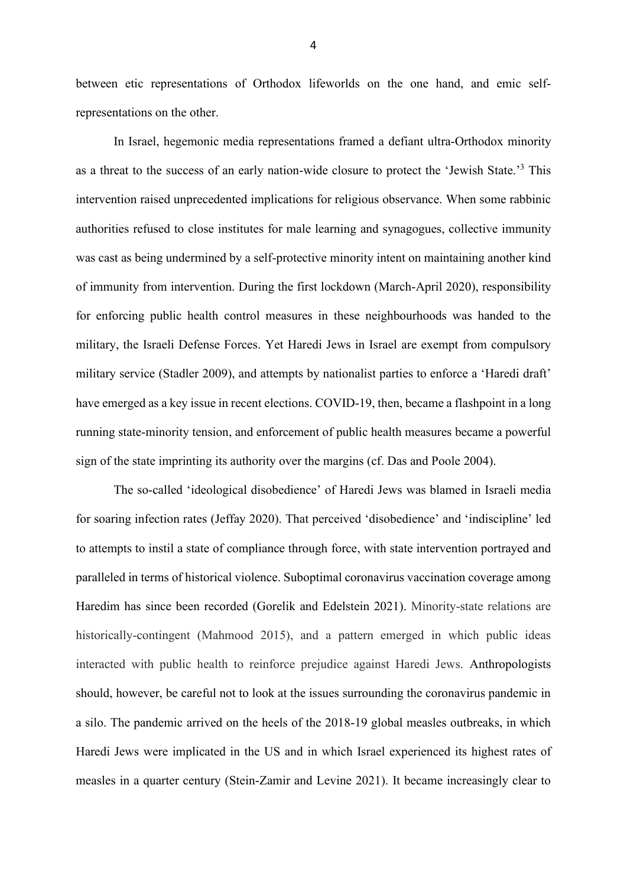between etic representations of Orthodox lifeworlds on the one hand, and emic selfrepresentations on the other.

In Israel, hegemonic media representations framed a defiant ultra-Orthodox minority as a threat to the success of an early nation-wide closure to protect the 'Jewish State.'<sup>3</sup> This intervention raised unprecedented implications for religious observance. When some rabbinic authorities refused to close institutes for male learning and synagogues, collective immunity was cast as being undermined by a self-protective minority intent on maintaining another kind of immunity from intervention. During the first lockdown (March-April 2020), responsibility for enforcing public health control measures in these neighbourhoods was handed to the military, the Israeli Defense Forces. Yet Haredi Jews in Israel are exempt from compulsory military service (Stadler 2009), and attempts by nationalist parties to enforce a 'Haredi draft' have emerged as a key issue in recent elections. COVID-19, then, became a flashpoint in a long running state-minority tension, and enforcement of public health measures became a powerful sign of the state imprinting its authority over the margins (cf. Das and Poole 2004).

The so-called 'ideological disobedience' of Haredi Jews was blamed in Israeli media for soaring infection rates (Jeffay 2020). That perceived 'disobedience' and 'indiscipline' led to attempts to instil a state of compliance through force, with state intervention portrayed and paralleled in terms of historical violence. Suboptimal coronavirus vaccination coverage among Haredim has since been recorded (Gorelik and Edelstein 2021). Minority-state relations are historically-contingent (Mahmood 2015), and a pattern emerged in which public ideas interacted with public health to reinforce prejudice against Haredi Jews. Anthropologists should, however, be careful not to look at the issues surrounding the coronavirus pandemic in a silo. The pandemic arrived on the heels of the 2018-19 global measles outbreaks, in which Haredi Jews were implicated in the US and in which Israel experienced its highest rates of measles in a quarter century (Stein-Zamir and Levine 2021). It became increasingly clear to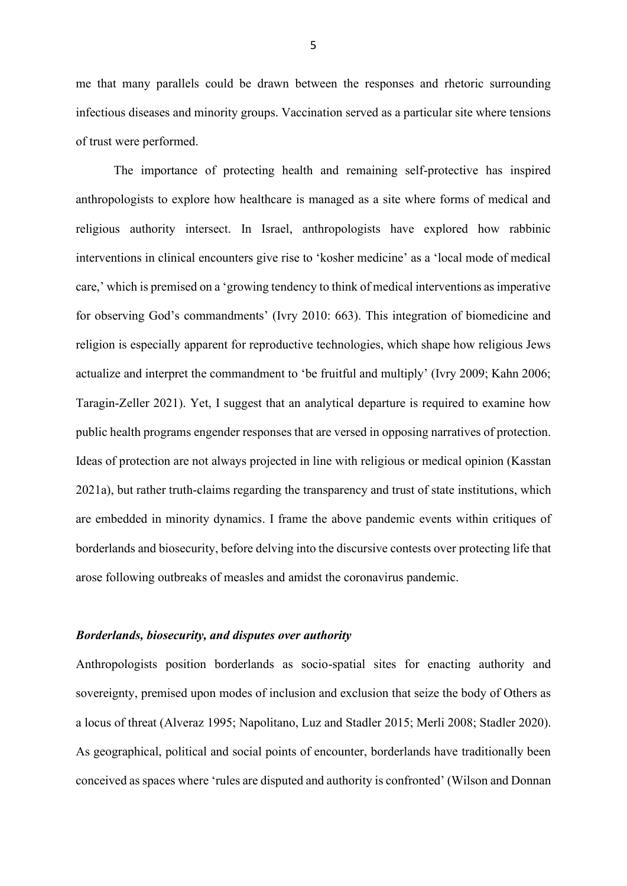me that many parallels could be drawn between the responses and rhetoric surrounding infectious diseases and minority groups. Vaccination served as a particular site where tensions of trust were performed.

The importance of protecting health and remaining self-protective has inspired anthropologists to explore how healthcare is managed as a site where forms of medical and religious authority intersect. In Israel, anthropologists have explored how rabbinic interventions in clinical encounters give rise to 'kosher medicine' as a 'local mode of medical care,' which is premised on a 'growing tendency to think of medical interventions as imperative for observing God's commandments' (Ivry 2010: 663). This integration of biomedicine and religion is especially apparent for reproductive technologies, which shape how religious Jews actualize and interpret the commandment to 'be fruitful and multiply' (Ivry 2009; Kahn 2006; Taragin-Zeller 2021). Yet, I suggest that an analytical departure is required to examine how public health programs engender responses that are versed in opposing narratives of protection. Ideas of protection are not always projected in line with religious or medical opinion (Kasstan 2021a), but rather truth-claims regarding the transparency and trust of state institutions, which are embedded in minority dynamics. I frame the above pandemic events within critiques of borderlands and biosecurity, before delving into the discursive contests over protecting life that arose following outbreaks of measles and amidst the coronavirus pandemic.

#### *Borderlands, biosecurity, and disputes over authority*

Anthropologists position borderlands as socio-spatial sites for enacting authority and sovereignty, premised upon modes of inclusion and exclusion that seize the body of Others as a locus of threat (Alveraz 1995; Napolitano, Luz and Stadler 2015; Merli 2008; Stadler 2020). As geographical, political and social points of encounter, borderlands have traditionally been conceived as spaces where 'rules are disputed and authority is confronted' (Wilson and Donnan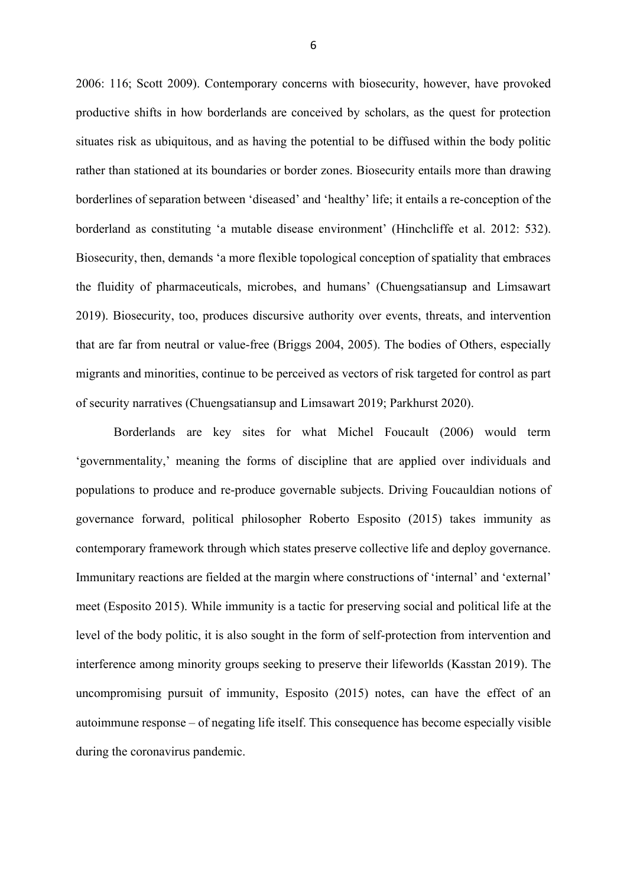2006: 116; Scott 2009). Contemporary concerns with biosecurity, however, have provoked productive shifts in how borderlands are conceived by scholars, as the quest for protection situates risk as ubiquitous, and as having the potential to be diffused within the body politic rather than stationed at its boundaries or border zones. Biosecurity entails more than drawing borderlines of separation between 'diseased' and 'healthy' life; it entails a re-conception of the borderland as constituting 'a mutable disease environment' (Hinchcliffe et al. 2012: 532). Biosecurity, then, demands 'a more flexible topological conception of spatiality that embraces the fluidity of pharmaceuticals, microbes, and humans' (Chuengsatiansup and Limsawart 2019). Biosecurity, too, produces discursive authority over events, threats, and intervention that are far from neutral or value-free (Briggs 2004, 2005). The bodies of Others, especially migrants and minorities, continue to be perceived as vectors of risk targeted for control as part of security narratives (Chuengsatiansup and Limsawart 2019; Parkhurst 2020).

Borderlands are key sites for what Michel Foucault (2006) would term 'governmentality,' meaning the forms of discipline that are applied over individuals and populations to produce and re-produce governable subjects. Driving Foucauldian notions of governance forward, political philosopher Roberto Esposito (2015) takes immunity as contemporary framework through which states preserve collective life and deploy governance. Immunitary reactions are fielded at the margin where constructions of 'internal' and 'external' meet (Esposito 2015). While immunity is a tactic for preserving social and political life at the level of the body politic, it is also sought in the form of self-protection from intervention and interference among minority groups seeking to preserve their lifeworlds (Kasstan 2019). The uncompromising pursuit of immunity, Esposito (2015) notes, can have the effect of an autoimmune response – of negating life itself. This consequence has become especially visible during the coronavirus pandemic.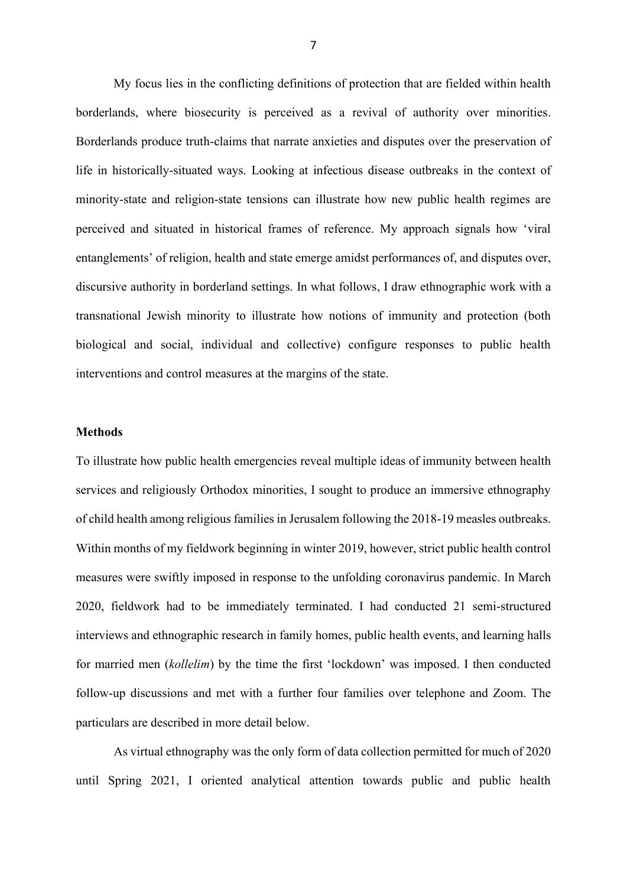My focus lies in the conflicting definitions of protection that are fielded within health borderlands, where biosecurity is perceived as a revival of authority over minorities. Borderlands produce truth-claims that narrate anxieties and disputes over the preservation of life in historically-situated ways. Looking at infectious disease outbreaks in the context of minority-state and religion-state tensions can illustrate how new public health regimes are perceived and situated in historical frames of reference. My approach signals how 'viral entanglements' of religion, health and state emerge amidst performances of, and disputes over, discursive authority in borderland settings. In what follows, I draw ethnographic work with a transnational Jewish minority to illustrate how notions of immunity and protection (both biological and social, individual and collective) configure responses to public health interventions and control measures at the margins of the state.

# **Methods**

To illustrate how public health emergencies reveal multiple ideas of immunity between health services and religiously Orthodox minorities, I sought to produce an immersive ethnography of child health among religious families in Jerusalem following the 2018-19 measles outbreaks. Within months of my fieldwork beginning in winter 2019, however, strict public health control measures were swiftly imposed in response to the unfolding coronavirus pandemic. In March 2020, fieldwork had to be immediately terminated. I had conducted 21 semi-structured interviews and ethnographic research in family homes, public health events, and learning halls for married men (*kollelim*) by the time the first 'lockdown' was imposed. I then conducted follow-up discussions and met with a further four families over telephone and Zoom. The particulars are described in more detail below.

As virtual ethnography was the only form of data collection permitted for much of 2020 until Spring 2021, I oriented analytical attention towards public and public health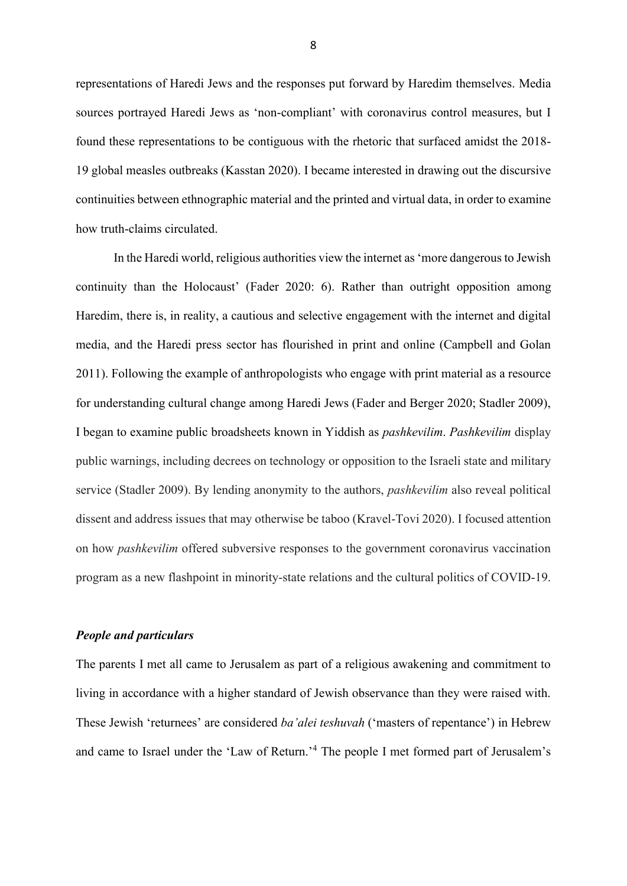representations of Haredi Jews and the responses put forward by Haredim themselves. Media sources portrayed Haredi Jews as 'non-compliant' with coronavirus control measures, but I found these representations to be contiguous with the rhetoric that surfaced amidst the 2018- 19 global measles outbreaks (Kasstan 2020). I became interested in drawing out the discursive continuities between ethnographic material and the printed and virtual data, in order to examine how truth-claims circulated.

In the Haredi world, religious authorities view the internet as 'more dangerous to Jewish continuity than the Holocaust' (Fader 2020: 6). Rather than outright opposition among Haredim, there is, in reality, a cautious and selective engagement with the internet and digital media, and the Haredi press sector has flourished in print and online (Campbell and Golan 2011). Following the example of anthropologists who engage with print material as a resource for understanding cultural change among Haredi Jews (Fader and Berger 2020; Stadler 2009), I began to examine public broadsheets known in Yiddish as *pashkevilim*. *Pashkevilim* display public warnings, including decrees on technology or opposition to the Israeli state and military service (Stadler 2009). By lending anonymity to the authors, *pashkevilim* also reveal political dissent and address issues that may otherwise be taboo (Kravel-Tovi 2020). I focused attention on how *pashkevilim* offered subversive responses to the government coronavirus vaccination program as a new flashpoint in minority-state relations and the cultural politics of COVID-19.

### *People and particulars*

The parents I met all came to Jerusalem as part of a religious awakening and commitment to living in accordance with a higher standard of Jewish observance than they were raised with. These Jewish 'returnees' are considered *ba'alei teshuvah* ('masters of repentance') in Hebrew and came to Israel under the 'Law of Return.'<sup>4</sup> The people I met formed part of Jerusalem's

8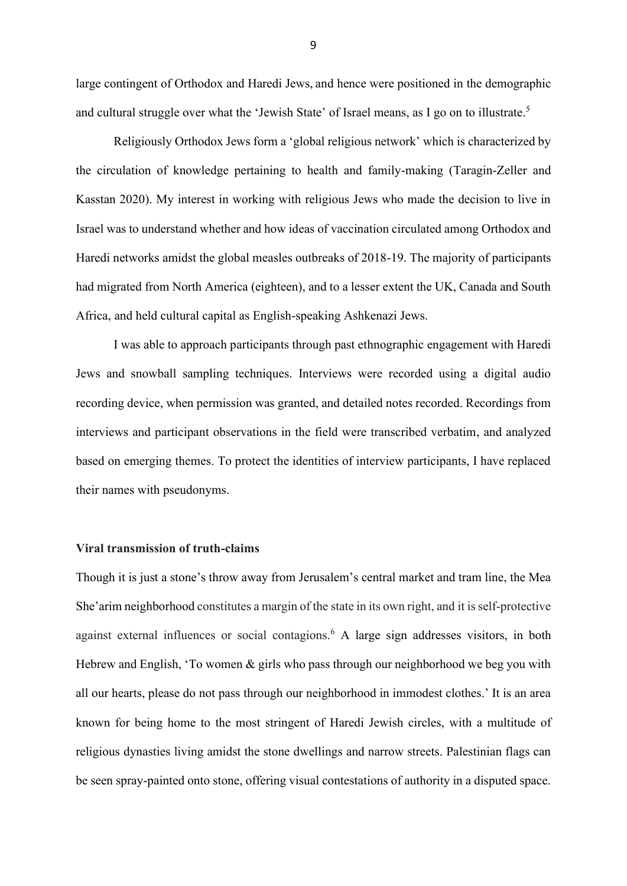large contingent of Orthodox and Haredi Jews, and hence were positioned in the demographic and cultural struggle over what the 'Jewish State' of Israel means, as I go on to illustrate.<sup>5</sup>

Religiously Orthodox Jews form a 'global religious network' which is characterized by the circulation of knowledge pertaining to health and family-making (Taragin-Zeller and Kasstan 2020). My interest in working with religious Jews who made the decision to live in Israel was to understand whether and how ideas of vaccination circulated among Orthodox and Haredi networks amidst the global measles outbreaks of 2018-19. The majority of participants had migrated from North America (eighteen), and to a lesser extent the UK, Canada and South Africa, and held cultural capital as English-speaking Ashkenazi Jews.

I was able to approach participants through past ethnographic engagement with Haredi Jews and snowball sampling techniques. Interviews were recorded using a digital audio recording device, when permission was granted, and detailed notes recorded. Recordings from interviews and participant observations in the field were transcribed verbatim, and analyzed based on emerging themes. To protect the identities of interview participants, I have replaced their names with pseudonyms.

# **Viral transmission of truth-claims**

Though it is just a stone's throw away from Jerusalem's central market and tram line, the Mea She'arim neighborhood constitutes a margin of the state in its own right, and it is self-protective against external influences or social contagions.<sup>6</sup> A large sign addresses visitors, in both Hebrew and English, 'To women & girls who pass through our neighborhood we beg you with all our hearts, please do not pass through our neighborhood in immodest clothes.' It is an area known for being home to the most stringent of Haredi Jewish circles, with a multitude of religious dynasties living amidst the stone dwellings and narrow streets. Palestinian flags can be seen spray-painted onto stone, offering visual contestations of authority in a disputed space.

9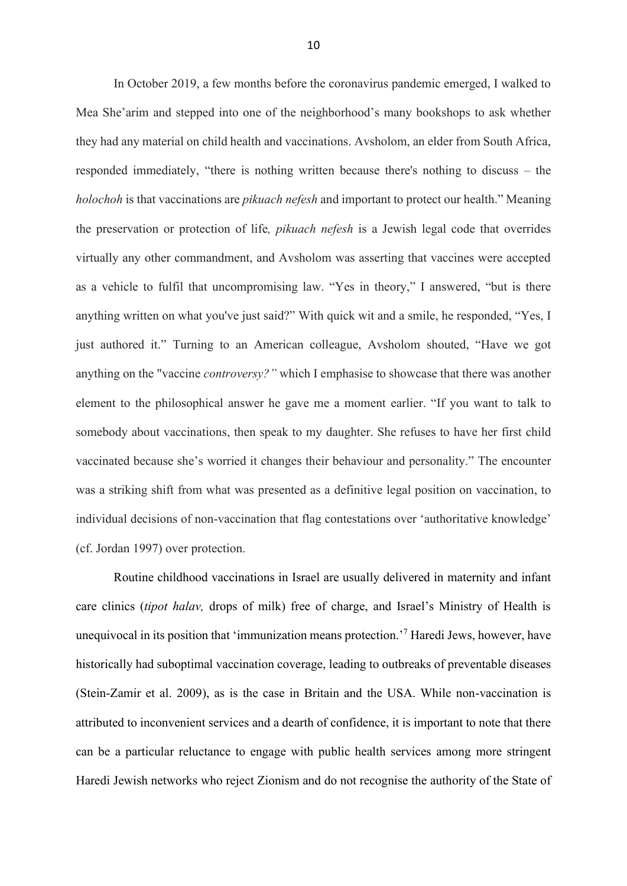In October 2019, a few months before the coronavirus pandemic emerged, I walked to Mea She'arim and stepped into one of the neighborhood's many bookshops to ask whether they had any material on child health and vaccinations. Avsholom, an elder from South Africa, responded immediately, "there is nothing written because there's nothing to discuss – the *holochoh* is that vaccinations are *pikuach nefesh* and important to protect our health." Meaning the preservation or protection of life*, pikuach nefesh* is a Jewish legal code that overrides virtually any other commandment, and Avsholom was asserting that vaccines were accepted as a vehicle to fulfil that uncompromising law. "Yes in theory," I answered, "but is there anything written on what you've just said?" With quick wit and a smile, he responded, "Yes, I just authored it." Turning to an American colleague, Avsholom shouted, "Have we got anything on the "vaccine *controversy?"* which I emphasise to showcase that there was another element to the philosophical answer he gave me a moment earlier. "If you want to talk to somebody about vaccinations, then speak to my daughter. She refuses to have her first child vaccinated because she's worried it changes their behaviour and personality." The encounter was a striking shift from what was presented as a definitive legal position on vaccination, to individual decisions of non-vaccination that flag contestations over 'authoritative knowledge' (cf. Jordan 1997) over protection.

Routine childhood vaccinations in Israel are usually delivered in maternity and infant care clinics (*tipot halav,* drops of milk) free of charge, and Israel's Ministry of Health is unequivocal in its position that 'immunization means protection.'<sup>7</sup> Haredi Jews, however, have historically had suboptimal vaccination coverage, leading to outbreaks of preventable diseases (Stein-Zamir et al. 2009), as is the case in Britain and the USA. While non-vaccination is attributed to inconvenient services and a dearth of confidence, it is important to note that there can be a particular reluctance to engage with public health services among more stringent Haredi Jewish networks who reject Zionism and do not recognise the authority of the State of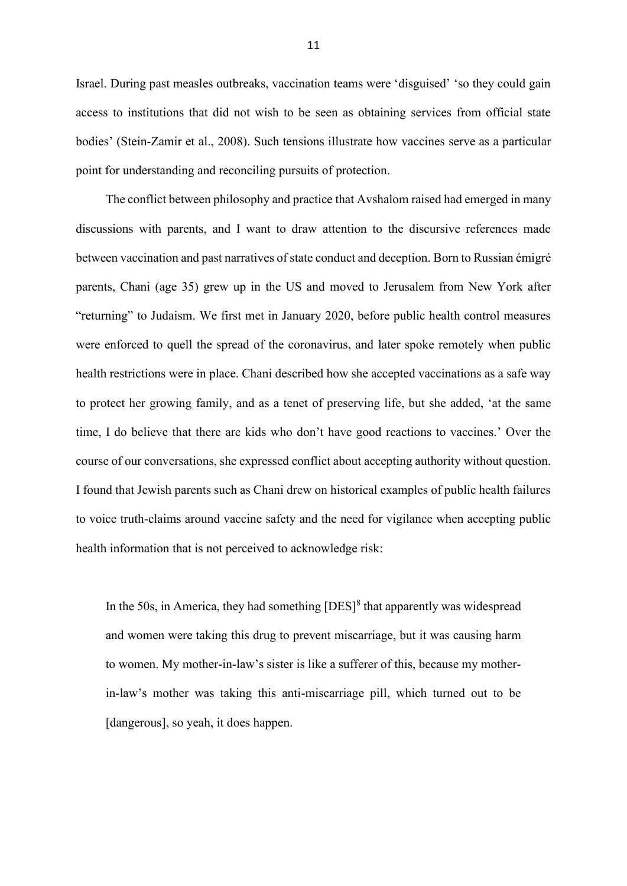Israel. During past measles outbreaks, vaccination teams were 'disguised' 'so they could gain access to institutions that did not wish to be seen as obtaining services from official state bodies' (Stein-Zamir et al., 2008). Such tensions illustrate how vaccines serve as a particular point for understanding and reconciling pursuits of protection.

The conflict between philosophy and practice that Avshalom raised had emerged in many discussions with parents, and I want to draw attention to the discursive references made between vaccination and past narratives of state conduct and deception. Born to Russian émigré parents, Chani (age 35) grew up in the US and moved to Jerusalem from New York after "returning" to Judaism. We first met in January 2020, before public health control measures were enforced to quell the spread of the coronavirus, and later spoke remotely when public health restrictions were in place. Chani described how she accepted vaccinations as a safe way to protect her growing family, and as a tenet of preserving life, but she added, 'at the same time, I do believe that there are kids who don't have good reactions to vaccines.' Over the course of our conversations, she expressed conflict about accepting authority without question. I found that Jewish parents such as Chani drew on historical examples of public health failures to voice truth-claims around vaccine safety and the need for vigilance when accepting public health information that is not perceived to acknowledge risk:

In the 50s, in America, they had something  $[DES]^8$  that apparently was widespread and women were taking this drug to prevent miscarriage, but it was causing harm to women. My mother-in-law's sister is like a sufferer of this, because my motherin-law's mother was taking this anti-miscarriage pill, which turned out to be [dangerous], so yeah, it does happen.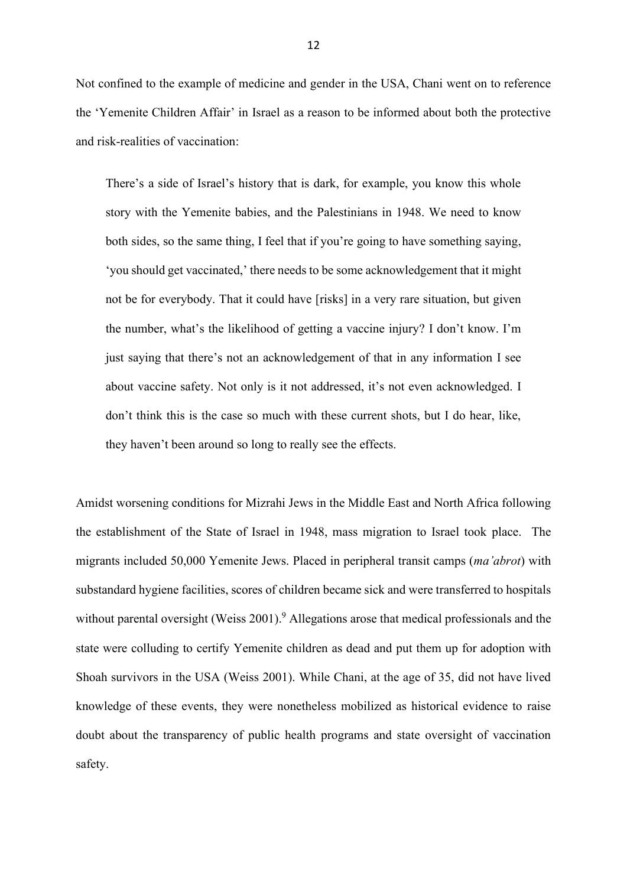Not confined to the example of medicine and gender in the USA, Chani went on to reference the 'Yemenite Children Affair' in Israel as a reason to be informed about both the protective and risk-realities of vaccination:

There's a side of Israel's history that is dark, for example, you know this whole story with the Yemenite babies, and the Palestinians in 1948. We need to know both sides, so the same thing, I feel that if you're going to have something saying, 'you should get vaccinated,' there needs to be some acknowledgement that it might not be for everybody. That it could have [risks] in a very rare situation, but given the number, what's the likelihood of getting a vaccine injury? I don't know. I'm just saying that there's not an acknowledgement of that in any information I see about vaccine safety. Not only is it not addressed, it's not even acknowledged. I don't think this is the case so much with these current shots, but I do hear, like, they haven't been around so long to really see the effects.

Amidst worsening conditions for Mizrahi Jews in the Middle East and North Africa following the establishment of the State of Israel in 1948, mass migration to Israel took place. The migrants included 50,000 Yemenite Jews. Placed in peripheral transit camps (*ma'abrot*) with substandard hygiene facilities, scores of children became sick and were transferred to hospitals without parental oversight (Weiss 2001).<sup>9</sup> Allegations arose that medical professionals and the state were colluding to certify Yemenite children as dead and put them up for adoption with Shoah survivors in the USA (Weiss 2001). While Chani, at the age of 35, did not have lived knowledge of these events, they were nonetheless mobilized as historical evidence to raise doubt about the transparency of public health programs and state oversight of vaccination safety.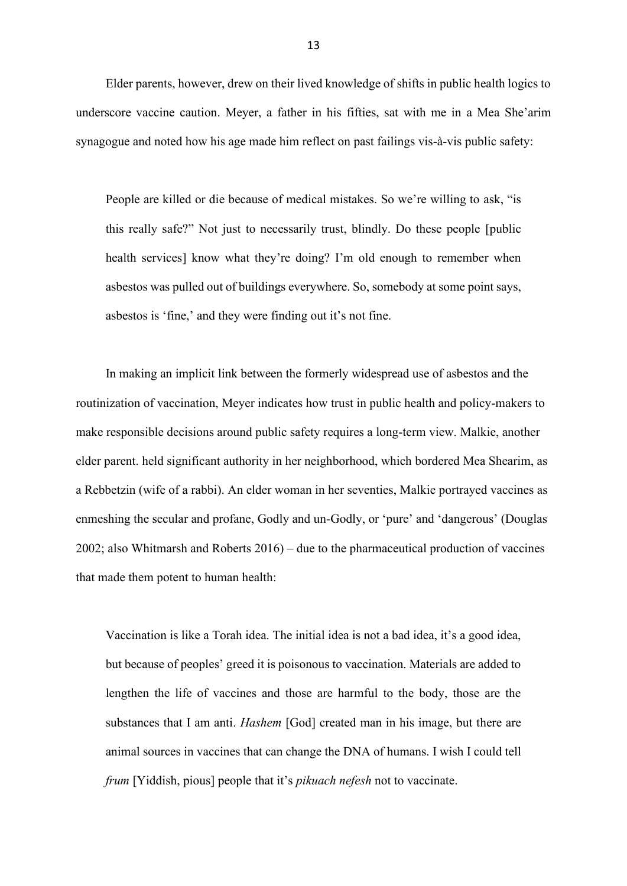Elder parents, however, drew on their lived knowledge of shifts in public health logics to underscore vaccine caution. Meyer, a father in his fifties, sat with me in a Mea She'arim synagogue and noted how his age made him reflect on past failings vis-à-vis public safety:

People are killed or die because of medical mistakes. So we're willing to ask, "is this really safe?" Not just to necessarily trust, blindly. Do these people [public health services] know what they're doing? I'm old enough to remember when asbestos was pulled out of buildings everywhere. So, somebody at some point says, asbestos is 'fine,' and they were finding out it's not fine.

In making an implicit link between the formerly widespread use of asbestos and the routinization of vaccination, Meyer indicates how trust in public health and policy-makers to make responsible decisions around public safety requires a long-term view. Malkie, another elder parent. held significant authority in her neighborhood, which bordered Mea Shearim, as a Rebbetzin (wife of a rabbi). An elder woman in her seventies, Malkie portrayed vaccines as enmeshing the secular and profane, Godly and un-Godly, or 'pure' and 'dangerous' (Douglas 2002; also Whitmarsh and Roberts 2016) – due to the pharmaceutical production of vaccines that made them potent to human health:

Vaccination is like a Torah idea. The initial idea is not a bad idea, it's a good idea, but because of peoples' greed it is poisonous to vaccination. Materials are added to lengthen the life of vaccines and those are harmful to the body, those are the substances that I am anti. *Hashem* [God] created man in his image, but there are animal sources in vaccines that can change the DNA of humans. I wish I could tell *frum* [Yiddish, pious] people that it's *pikuach nefesh* not to vaccinate.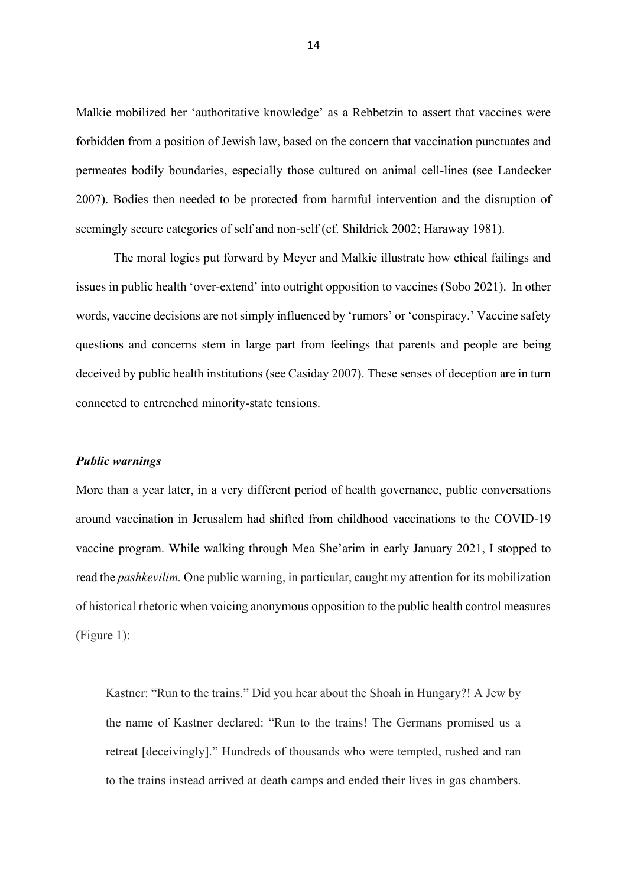Malkie mobilized her 'authoritative knowledge' as a Rebbetzin to assert that vaccines were forbidden from a position of Jewish law, based on the concern that vaccination punctuates and permeates bodily boundaries, especially those cultured on animal cell-lines (see Landecker 2007). Bodies then needed to be protected from harmful intervention and the disruption of seemingly secure categories of self and non-self (cf. Shildrick 2002; Haraway 1981).

The moral logics put forward by Meyer and Malkie illustrate how ethical failings and issues in public health 'over-extend' into outright opposition to vaccines (Sobo 2021). In other words, vaccine decisions are not simply influenced by 'rumors' or 'conspiracy.' Vaccine safety questions and concerns stem in large part from feelings that parents and people are being deceived by public health institutions (see Casiday 2007). These senses of deception are in turn connected to entrenched minority-state tensions.

## *Public warnings*

More than a year later, in a very different period of health governance, public conversations around vaccination in Jerusalem had shifted from childhood vaccinations to the COVID-19 vaccine program. While walking through Mea She'arim in early January 2021, I stopped to read the *pashkevilim.* One public warning, in particular, caught my attention for its mobilization of historical rhetoric when voicing anonymous opposition to the public health control measures (Figure 1):

Kastner: "Run to the trains." Did you hear about the Shoah in Hungary?! A Jew by the name of Kastner declared: "Run to the trains! The Germans promised us a retreat [deceivingly]." Hundreds of thousands who were tempted, rushed and ran to the trains instead arrived at death camps and ended their lives in gas chambers.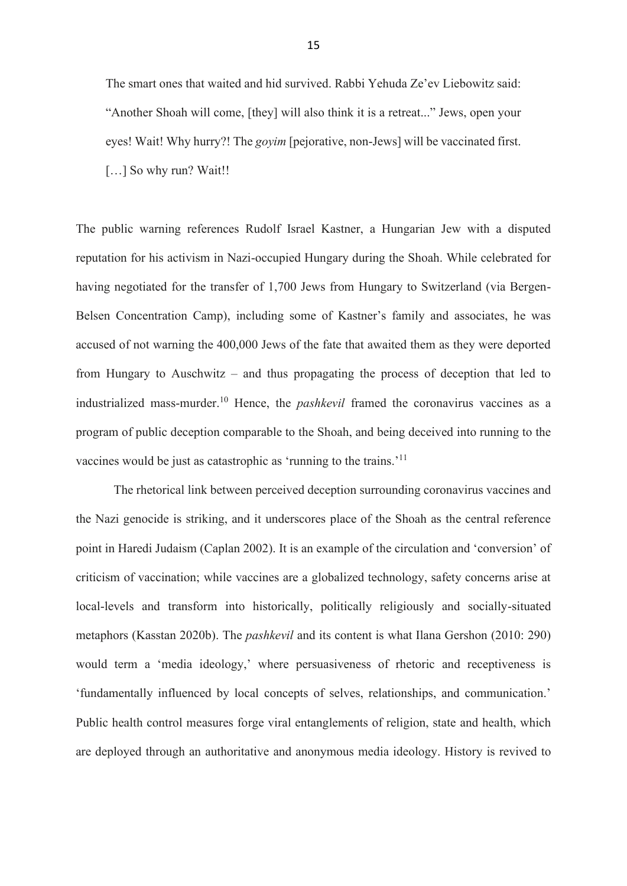The smart ones that waited and hid survived. Rabbi Yehuda Ze'ev Liebowitz said: "Another Shoah will come, [they] will also think it is a retreat..." Jews, open your eyes! Wait! Why hurry?! The *goyim* [pejorative, non-Jews] will be vaccinated first. [...] So why run? Wait!!

The public warning references Rudolf Israel Kastner, a Hungarian Jew with a disputed reputation for his activism in Nazi-occupied Hungary during the Shoah. While celebrated for having negotiated for the transfer of 1,700 Jews from Hungary to Switzerland (via Bergen-Belsen Concentration Camp), including some of Kastner's family and associates, he was accused of not warning the 400,000 Jews of the fate that awaited them as they were deported from Hungary to Auschwitz – and thus propagating the process of deception that led to industrialized mass-murder.<sup>10</sup> Hence, the *pashkevil* framed the coronavirus vaccines as a program of public deception comparable to the Shoah, and being deceived into running to the vaccines would be just as catastrophic as 'running to the trains.'<sup>11</sup>

The rhetorical link between perceived deception surrounding coronavirus vaccines and the Nazi genocide is striking, and it underscores place of the Shoah as the central reference point in Haredi Judaism (Caplan 2002). It is an example of the circulation and 'conversion' of criticism of vaccination; while vaccines are a globalized technology, safety concerns arise at local-levels and transform into historically, politically religiously and socially-situated metaphors (Kasstan 2020b). The *pashkevil* and its content is what Ilana Gershon (2010: 290) would term a 'media ideology,' where persuasiveness of rhetoric and receptiveness is 'fundamentally influenced by local concepts of selves, relationships, and communication.' Public health control measures forge viral entanglements of religion, state and health, which are deployed through an authoritative and anonymous media ideology. History is revived to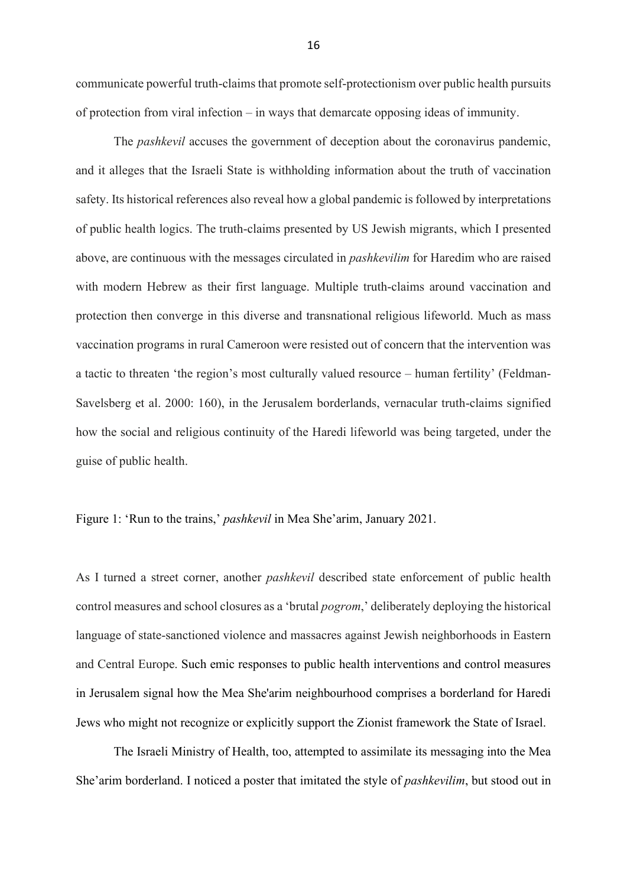communicate powerful truth-claims that promote self-protectionism over public health pursuits of protection from viral infection – in ways that demarcate opposing ideas of immunity.

The *pashkevil* accuses the government of deception about the coronavirus pandemic, and it alleges that the Israeli State is withholding information about the truth of vaccination safety. Its historical references also reveal how a global pandemic is followed by interpretations of public health logics. The truth-claims presented by US Jewish migrants, which I presented above, are continuous with the messages circulated in *pashkevilim* for Haredim who are raised with modern Hebrew as their first language. Multiple truth-claims around vaccination and protection then converge in this diverse and transnational religious lifeworld. Much as mass vaccination programs in rural Cameroon were resisted out of concern that the intervention was a tactic to threaten 'the region's most culturally valued resource – human fertility' (Feldman-Savelsberg et al. 2000: 160), in the Jerusalem borderlands, vernacular truth-claims signified how the social and religious continuity of the Haredi lifeworld was being targeted, under the guise of public health.

Figure 1: 'Run to the trains,' *pashkevil* in Mea She'arim, January 2021.

As I turned a street corner, another *pashkevil* described state enforcement of public health control measures and school closures as a 'brutal *pogrom*,' deliberately deploying the historical language of state-sanctioned violence and massacres against Jewish neighborhoods in Eastern and Central Europe. Such emic responses to public health interventions and control measures in Jerusalem signal how the Mea She'arim neighbourhood comprises a borderland for Haredi Jews who might not recognize or explicitly support the Zionist framework the State of Israel.

The Israeli Ministry of Health, too, attempted to assimilate its messaging into the Mea She'arim borderland. I noticed a poster that imitated the style of *pashkevilim*, but stood out in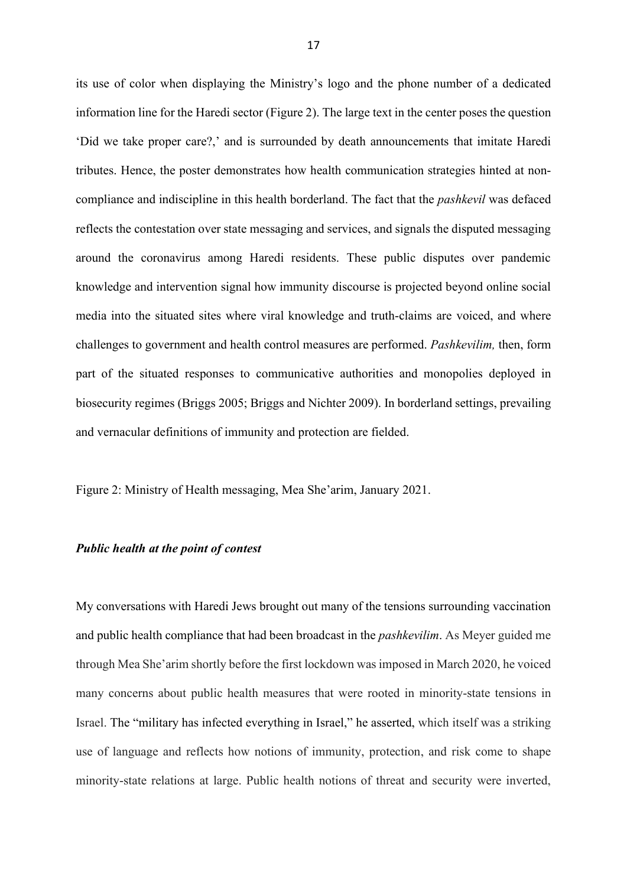its use of color when displaying the Ministry's logo and the phone number of a dedicated information line for the Haredi sector (Figure 2). The large text in the center poses the question 'Did we take proper care?,' and is surrounded by death announcements that imitate Haredi tributes. Hence, the poster demonstrates how health communication strategies hinted at noncompliance and indiscipline in this health borderland. The fact that the *pashkevil* was defaced reflects the contestation over state messaging and services, and signals the disputed messaging around the coronavirus among Haredi residents. These public disputes over pandemic knowledge and intervention signal how immunity discourse is projected beyond online social media into the situated sites where viral knowledge and truth-claims are voiced, and where challenges to government and health control measures are performed. *Pashkevilim,* then, form part of the situated responses to communicative authorities and monopolies deployed in biosecurity regimes (Briggs 2005; Briggs and Nichter 2009). In borderland settings, prevailing and vernacular definitions of immunity and protection are fielded.

Figure 2: Ministry of Health messaging, Mea She'arim, January 2021.

## *Public health at the point of contest*

My conversations with Haredi Jews brought out many of the tensions surrounding vaccination and public health compliance that had been broadcast in the *pashkevilim*. As Meyer guided me through Mea She'arim shortly before the first lockdown was imposed in March 2020, he voiced many concerns about public health measures that were rooted in minority-state tensions in Israel. The "military has infected everything in Israel," he asserted, which itself was a striking use of language and reflects how notions of immunity, protection, and risk come to shape minority-state relations at large. Public health notions of threat and security were inverted,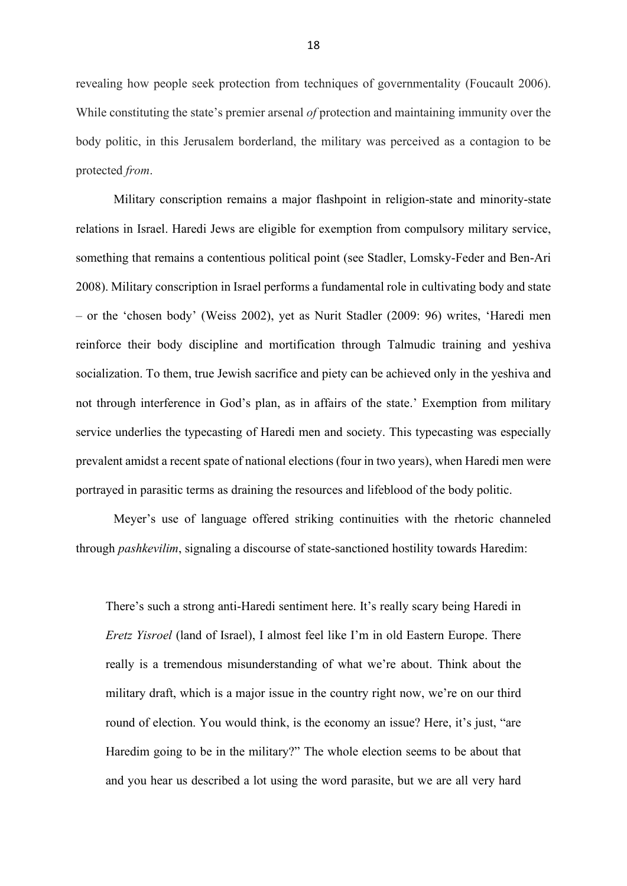revealing how people seek protection from techniques of governmentality (Foucault 2006). While constituting the state's premier arsenal *of* protection and maintaining immunity over the body politic, in this Jerusalem borderland, the military was perceived as a contagion to be protected *from*.

Military conscription remains a major flashpoint in religion-state and minority-state relations in Israel. Haredi Jews are eligible for exemption from compulsory military service, something that remains a contentious political point (see Stadler, Lomsky-Feder and Ben-Ari 2008). Military conscription in Israel performs a fundamental role in cultivating body and state – or the 'chosen body' (Weiss 2002), yet as Nurit Stadler (2009: 96) writes, 'Haredi men reinforce their body discipline and mortification through Talmudic training and yeshiva socialization. To them, true Jewish sacrifice and piety can be achieved only in the yeshiva and not through interference in God's plan, as in affairs of the state.' Exemption from military service underlies the typecasting of Haredi men and society. This typecasting was especially prevalent amidst a recent spate of national elections (four in two years), when Haredi men were portrayed in parasitic terms as draining the resources and lifeblood of the body politic.

Meyer's use of language offered striking continuities with the rhetoric channeled through *pashkevilim*, signaling a discourse of state-sanctioned hostility towards Haredim:

There's such a strong anti-Haredi sentiment here. It's really scary being Haredi in *Eretz Yisroel* (land of Israel), I almost feel like I'm in old Eastern Europe. There really is a tremendous misunderstanding of what we're about. Think about the military draft, which is a major issue in the country right now, we're on our third round of election. You would think, is the economy an issue? Here, it's just, "are Haredim going to be in the military?" The whole election seems to be about that and you hear us described a lot using the word parasite, but we are all very hard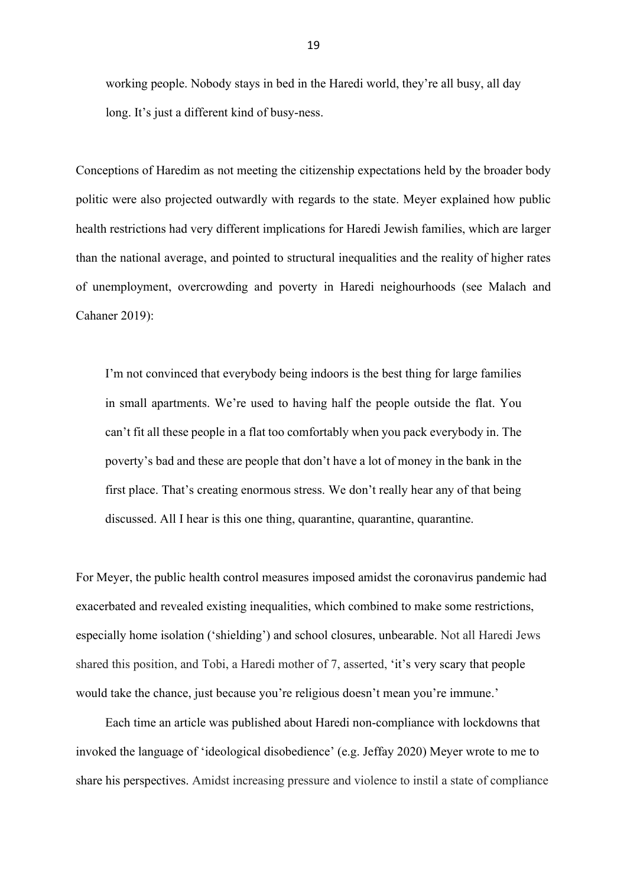working people. Nobody stays in bed in the Haredi world, they're all busy, all day long. It's just a different kind of busy-ness.

Conceptions of Haredim as not meeting the citizenship expectations held by the broader body politic were also projected outwardly with regards to the state. Meyer explained how public health restrictions had very different implications for Haredi Jewish families, which are larger than the national average, and pointed to structural inequalities and the reality of higher rates of unemployment, overcrowding and poverty in Haredi neighourhoods (see Malach and Cahaner 2019):

I'm not convinced that everybody being indoors is the best thing for large families in small apartments. We're used to having half the people outside the flat. You can't fit all these people in a flat too comfortably when you pack everybody in. The poverty's bad and these are people that don't have a lot of money in the bank in the first place. That's creating enormous stress. We don't really hear any of that being discussed. All I hear is this one thing, quarantine, quarantine, quarantine.

For Meyer, the public health control measures imposed amidst the coronavirus pandemic had exacerbated and revealed existing inequalities, which combined to make some restrictions, especially home isolation ('shielding') and school closures, unbearable. Not all Haredi Jews shared this position, and Tobi, a Haredi mother of 7, asserted, 'it's very scary that people would take the chance, just because you're religious doesn't mean you're immune.'

Each time an article was published about Haredi non-compliance with lockdowns that invoked the language of 'ideological disobedience' (e.g. Jeffay 2020) Meyer wrote to me to share his perspectives. Amidst increasing pressure and violence to instil a state of compliance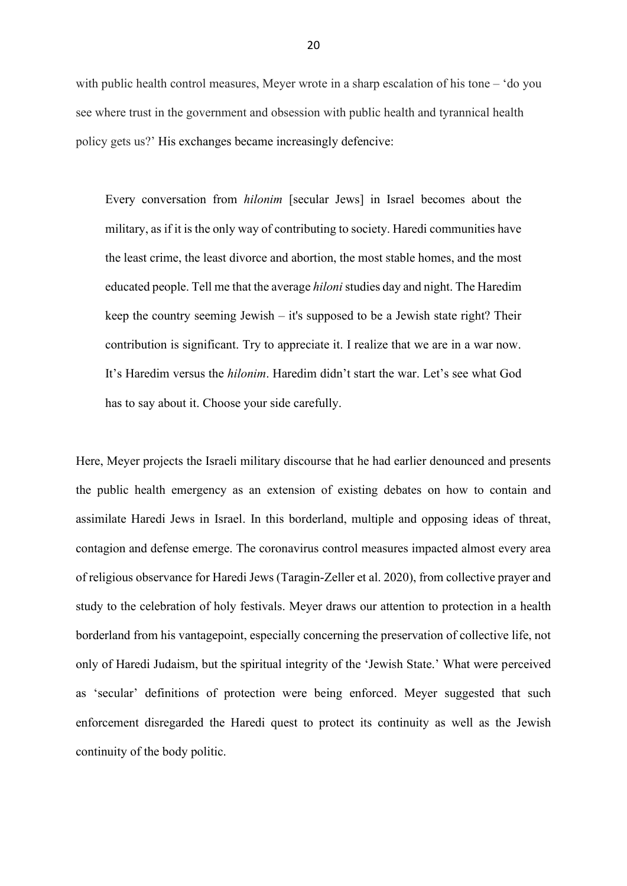with public health control measures, Meyer wrote in a sharp escalation of his tone – 'do you see where trust in the government and obsession with public health and tyrannical health policy gets us?' His exchanges became increasingly defencive:

Every conversation from *hilonim* [secular Jews] in Israel becomes about the military, as if it is the only way of contributing to society. Haredi communities have the least crime, the least divorce and abortion, the most stable homes, and the most educated people. Tell me that the average *hiloni* studies day and night. The Haredim keep the country seeming Jewish – it's supposed to be a Jewish state right? Their contribution is significant. Try to appreciate it. I realize that we are in a war now. It's Haredim versus the *hilonim*. Haredim didn't start the war. Let's see what God has to say about it. Choose your side carefully.

Here, Meyer projects the Israeli military discourse that he had earlier denounced and presents the public health emergency as an extension of existing debates on how to contain and assimilate Haredi Jews in Israel. In this borderland, multiple and opposing ideas of threat, contagion and defense emerge. The coronavirus control measures impacted almost every area of religious observance for Haredi Jews (Taragin-Zeller et al. 2020), from collective prayer and study to the celebration of holy festivals. Meyer draws our attention to protection in a health borderland from his vantagepoint, especially concerning the preservation of collective life, not only of Haredi Judaism, but the spiritual integrity of the 'Jewish State.' What were perceived as 'secular' definitions of protection were being enforced. Meyer suggested that such enforcement disregarded the Haredi quest to protect its continuity as well as the Jewish continuity of the body politic.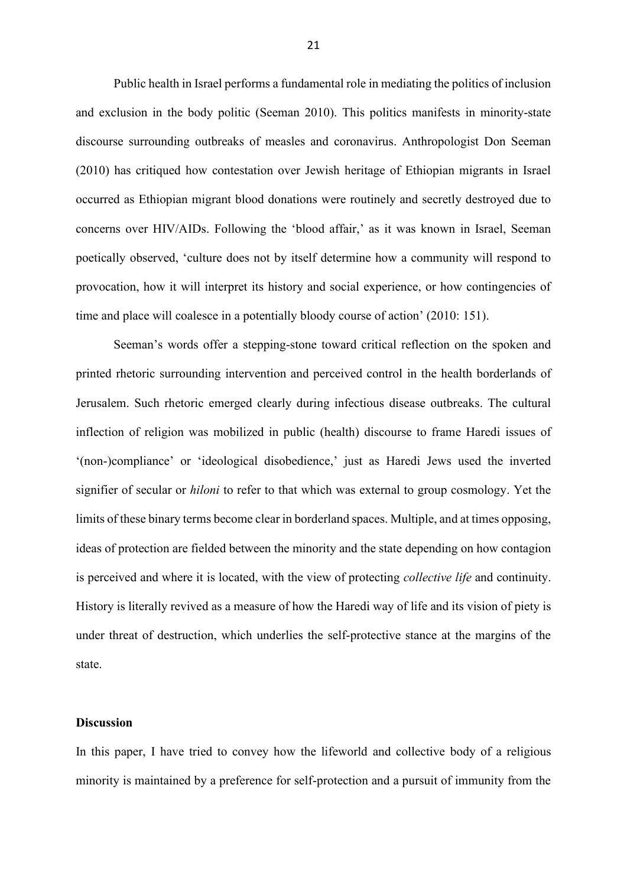Public health in Israel performs a fundamental role in mediating the politics of inclusion and exclusion in the body politic (Seeman 2010). This politics manifests in minority-state discourse surrounding outbreaks of measles and coronavirus. Anthropologist Don Seeman (2010) has critiqued how contestation over Jewish heritage of Ethiopian migrants in Israel occurred as Ethiopian migrant blood donations were routinely and secretly destroyed due to concerns over HIV/AIDs. Following the 'blood affair,' as it was known in Israel, Seeman poetically observed, 'culture does not by itself determine how a community will respond to provocation, how it will interpret its history and social experience, or how contingencies of time and place will coalesce in a potentially bloody course of action' (2010: 151).

Seeman's words offer a stepping-stone toward critical reflection on the spoken and printed rhetoric surrounding intervention and perceived control in the health borderlands of Jerusalem. Such rhetoric emerged clearly during infectious disease outbreaks. The cultural inflection of religion was mobilized in public (health) discourse to frame Haredi issues of '(non-)compliance' or 'ideological disobedience,' just as Haredi Jews used the inverted signifier of secular or *hiloni* to refer to that which was external to group cosmology. Yet the limits of these binary terms become clear in borderland spaces. Multiple, and at times opposing, ideas of protection are fielded between the minority and the state depending on how contagion is perceived and where it is located, with the view of protecting *collective life* and continuity. History is literally revived as a measure of how the Haredi way of life and its vision of piety is under threat of destruction, which underlies the self-protective stance at the margins of the state.

### **Discussion**

In this paper, I have tried to convey how the lifeworld and collective body of a religious minority is maintained by a preference for self-protection and a pursuit of immunity from the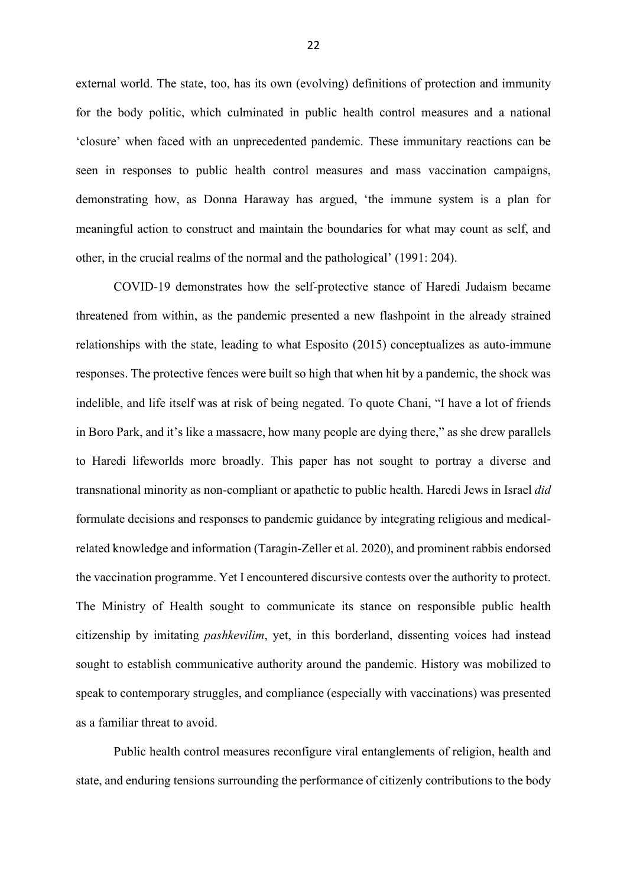external world. The state, too, has its own (evolving) definitions of protection and immunity for the body politic, which culminated in public health control measures and a national 'closure' when faced with an unprecedented pandemic. These immunitary reactions can be seen in responses to public health control measures and mass vaccination campaigns, demonstrating how, as Donna Haraway has argued, 'the immune system is a plan for meaningful action to construct and maintain the boundaries for what may count as self, and other, in the crucial realms of the normal and the pathological' (1991: 204).

COVID-19 demonstrates how the self-protective stance of Haredi Judaism became threatened from within, as the pandemic presented a new flashpoint in the already strained relationships with the state, leading to what Esposito (2015) conceptualizes as auto-immune responses. The protective fences were built so high that when hit by a pandemic, the shock was indelible, and life itself was at risk of being negated. To quote Chani, "I have a lot of friends in Boro Park, and it's like a massacre, how many people are dying there," as she drew parallels to Haredi lifeworlds more broadly. This paper has not sought to portray a diverse and transnational minority as non-compliant or apathetic to public health. Haredi Jews in Israel *did* formulate decisions and responses to pandemic guidance by integrating religious and medicalrelated knowledge and information (Taragin-Zeller et al. 2020), and prominent rabbis endorsed the vaccination programme. Yet I encountered discursive contests over the authority to protect. The Ministry of Health sought to communicate its stance on responsible public health citizenship by imitating *pashkevilim*, yet, in this borderland, dissenting voices had instead sought to establish communicative authority around the pandemic. History was mobilized to speak to contemporary struggles, and compliance (especially with vaccinations) was presented as a familiar threat to avoid.

Public health control measures reconfigure viral entanglements of religion, health and state, and enduring tensions surrounding the performance of citizenly contributions to the body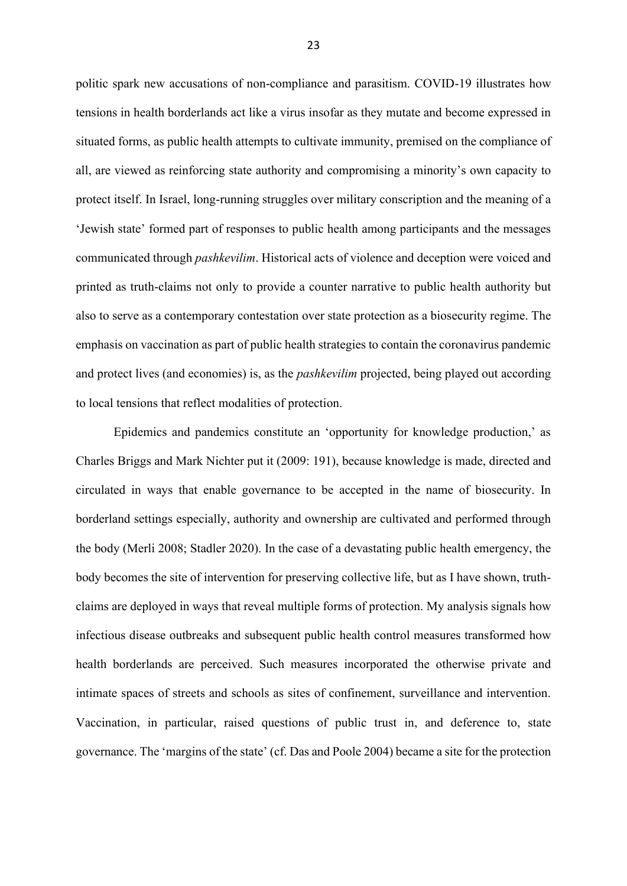politic spark new accusations of non-compliance and parasitism. COVID-19 illustrates how tensions in health borderlands act like a virus insofar as they mutate and become expressed in situated forms, as public health attempts to cultivate immunity, premised on the compliance of all, are viewed as reinforcing state authority and compromising a minority's own capacity to protect itself. In Israel, long-running struggles over military conscription and the meaning of a 'Jewish state' formed part of responses to public health among participants and the messages communicated through *pashkevilim*. Historical acts of violence and deception were voiced and printed as truth-claims not only to provide a counter narrative to public health authority but also to serve as a contemporary contestation over state protection as a biosecurity regime. The emphasis on vaccination as part of public health strategies to contain the coronavirus pandemic and protect lives (and economies) is, as the *pashkevilim* projected, being played out according to local tensions that reflect modalities of protection.

Epidemics and pandemics constitute an 'opportunity for knowledge production,' as Charles Briggs and Mark Nichter put it (2009: 191), because knowledge is made, directed and circulated in ways that enable governance to be accepted in the name of biosecurity. In borderland settings especially, authority and ownership are cultivated and performed through the body (Merli 2008; Stadler 2020). In the case of a devastating public health emergency, the body becomes the site of intervention for preserving collective life, but as I have shown, truthclaims are deployed in ways that reveal multiple forms of protection. My analysis signals how infectious disease outbreaks and subsequent public health control measures transformed how health borderlands are perceived. Such measures incorporated the otherwise private and intimate spaces of streets and schools as sites of confinement, surveillance and intervention. Vaccination, in particular, raised questions of public trust in, and deference to, state governance. The 'margins of the state' (cf. Das and Poole 2004) became a site for the protection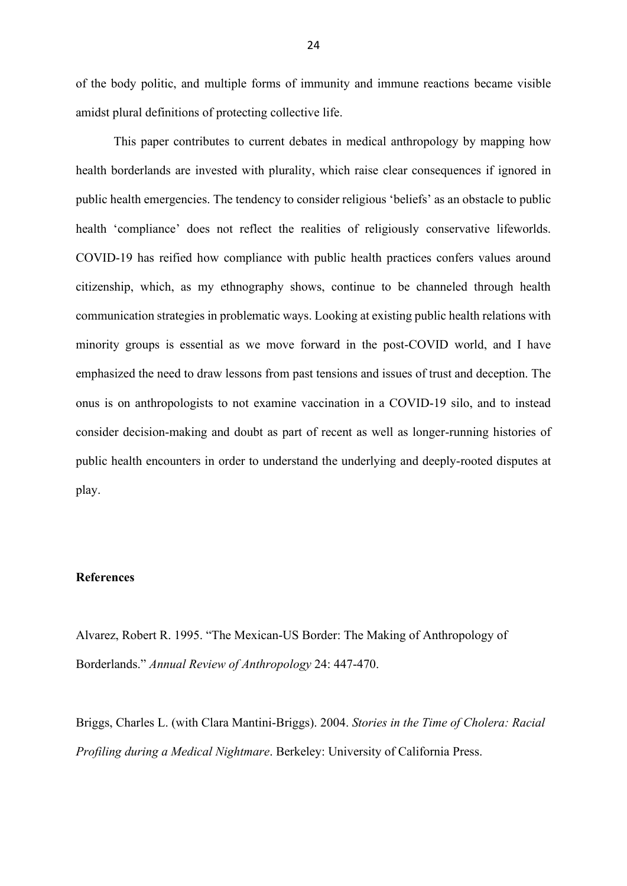of the body politic, and multiple forms of immunity and immune reactions became visible amidst plural definitions of protecting collective life.

This paper contributes to current debates in medical anthropology by mapping how health borderlands are invested with plurality, which raise clear consequences if ignored in public health emergencies. The tendency to consider religious 'beliefs' as an obstacle to public health 'compliance' does not reflect the realities of religiously conservative lifeworlds. COVID-19 has reified how compliance with public health practices confers values around citizenship, which, as my ethnography shows, continue to be channeled through health communication strategies in problematic ways. Looking at existing public health relations with minority groups is essential as we move forward in the post-COVID world, and I have emphasized the need to draw lessons from past tensions and issues of trust and deception. The onus is on anthropologists to not examine vaccination in a COVID-19 silo, and to instead consider decision-making and doubt as part of recent as well as longer-running histories of public health encounters in order to understand the underlying and deeply-rooted disputes at play.

### **References**

Alvarez, Robert R. 1995. "The Mexican-US Border: The Making of Anthropology of Borderlands." *Annual Review of Anthropology* 24: 447-470.

Briggs, Charles L. (with Clara Mantini-Briggs). 2004. *Stories in the Time of Cholera: Racial Profiling during a Medical Nightmare*. Berkeley: University of California Press.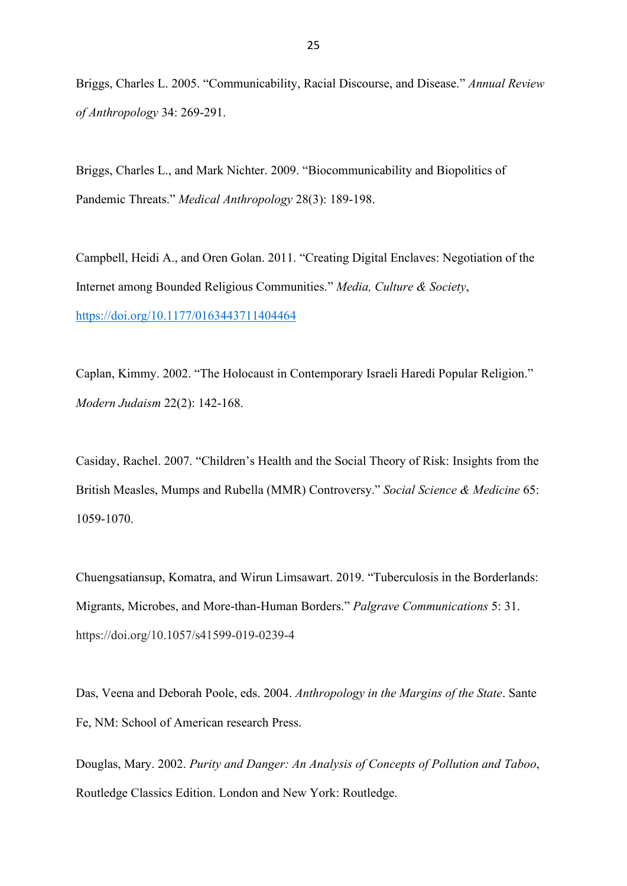Briggs, Charles L. 2005. "Communicability, Racial Discourse, and Disease." *Annual Review of Anthropology* 34: 269-291.

Briggs, Charles L., and Mark Nichter. 2009. "Biocommunicability and Biopolitics of Pandemic Threats." *Medical Anthropology* 28(3): 189-198.

Campbell, Heidi A., and Oren Golan. 2011. "Creating Digital Enclaves: Negotiation of the Internet among Bounded Religious Communities." *Media, Culture & Society*, [https://doi.org/10.1177/0163443711404464](https://doi.org/10.1177%2F0163443711404464)

Caplan, Kimmy. 2002. "The Holocaust in Contemporary Israeli Haredi Popular Religion." *Modern Judaism* 22(2): 142-168.

Casiday, Rachel. 2007. "Children's Health and the Social Theory of Risk: Insights from the British Measles, Mumps and Rubella (MMR) Controversy." *Social Science & Medicine* 65: 1059-1070.

Chuengsatiansup, Komatra, and Wirun Limsawart. 2019. "Tuberculosis in the Borderlands: Migrants, Microbes, and More-than-Human Borders." *Palgrave Communications* 5: 31. https://doi.org/10.1057/s41599-019-0239-4

Das, Veena and Deborah Poole, eds. 2004. *Anthropology in the Margins of the State*. Sante Fe, NM: School of American research Press.

Douglas, Mary. 2002. *Purity and Danger: An Analysis of Concepts of Pollution and Taboo*, Routledge Classics Edition. London and New York: Routledge.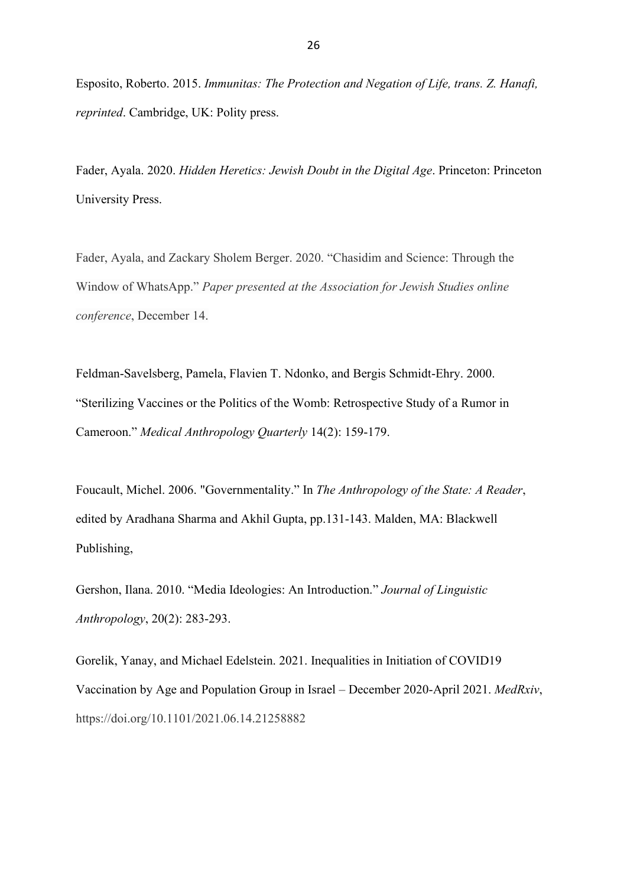Esposito, Roberto. 2015. *Immunitas: The Protection and Negation of Life, trans. Z. Hanafi, reprinted*. Cambridge, UK: Polity press.

Fader, Ayala. 2020. *Hidden Heretics: Jewish Doubt in the Digital Age*. Princeton: Princeton University Press.

Fader, Ayala, and Zackary Sholem Berger. 2020. "Chasidim and Science: Through the Window of WhatsApp." *Paper presented at the Association for Jewish Studies online conference*, December 14.

Feldman-Savelsberg, Pamela, Flavien T. Ndonko, and Bergis Schmidt-Ehry. 2000. "Sterilizing Vaccines or the Politics of the Womb: Retrospective Study of a Rumor in Cameroon." *Medical Anthropology Quarterly* 14(2): 159-179.

Foucault, Michel. 2006. "Governmentality." In *The Anthropology of the State: A Reader*, edited by Aradhana Sharma and Akhil Gupta, pp.131-143. Malden, MA: Blackwell Publishing,

Gershon, Ilana. 2010. "Media Ideologies: An Introduction." *Journal of Linguistic Anthropology*, 20(2): 283-293.

Gorelik, Yanay, and Michael Edelstein. 2021. Inequalities in Initiation of COVID19 Vaccination by Age and Population Group in Israel – December 2020-April 2021. *MedRxiv*, https://doi.org/10.1101/2021.06.14.21258882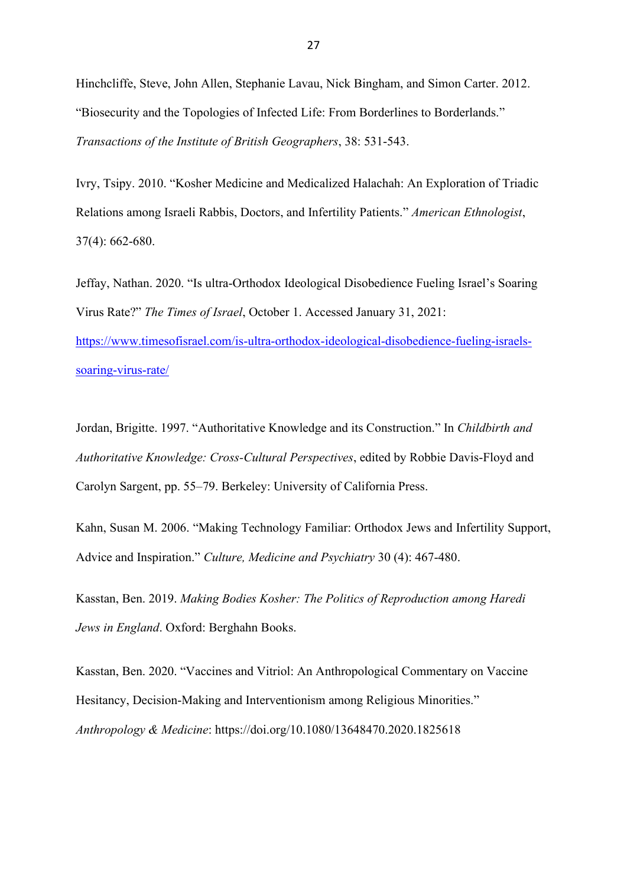Hinchcliffe, Steve, John Allen, Stephanie Lavau, Nick Bingham, and Simon Carter. 2012. "Biosecurity and the Topologies of Infected Life: From Borderlines to Borderlands." *Transactions of the Institute of British Geographers*, 38: 531-543.

Ivry, Tsipy. 2010. "Kosher Medicine and Medicalized Halachah: An Exploration of Triadic Relations among Israeli Rabbis, Doctors, and Infertility Patients." *American Ethnologist*, 37(4): 662-680.

Jeffay, Nathan. 2020. "Is ultra-Orthodox Ideological Disobedience Fueling Israel's Soaring Virus Rate?" *The Times of Israel*, October 1. Accessed January 31, 2021: [https://www.timesofisrael.com/is-ultra-orthodox-ideological-disobedience-fueling-israels](https://www.timesofisrael.com/is-ultra-orthodox-ideological-disobedience-fueling-israels-soaring-virus-rate/)[soaring-virus-rate/](https://www.timesofisrael.com/is-ultra-orthodox-ideological-disobedience-fueling-israels-soaring-virus-rate/)

Jordan, Brigitte. 1997. "Authoritative Knowledge and its Construction." In *Childbirth and Authoritative Knowledge: Cross-Cultural Perspectives*, edited by Robbie Davis-Floyd and Carolyn Sargent, pp. 55–79. Berkeley: University of California Press.

Kahn, Susan M. 2006. "Making Technology Familiar: Orthodox Jews and Infertility Support, Advice and Inspiration." *Culture, Medicine and Psychiatry* 30 (4): 467-480.

Kasstan, Ben. 2019. *Making Bodies Kosher: The Politics of Reproduction among Haredi Jews in England*. Oxford: Berghahn Books.

Kasstan, Ben. 2020. "Vaccines and Vitriol: An Anthropological Commentary on Vaccine Hesitancy, Decision-Making and Interventionism among Religious Minorities." *Anthropology & Medicine*:<https://doi.org/10.1080/13648470.2020.1825618>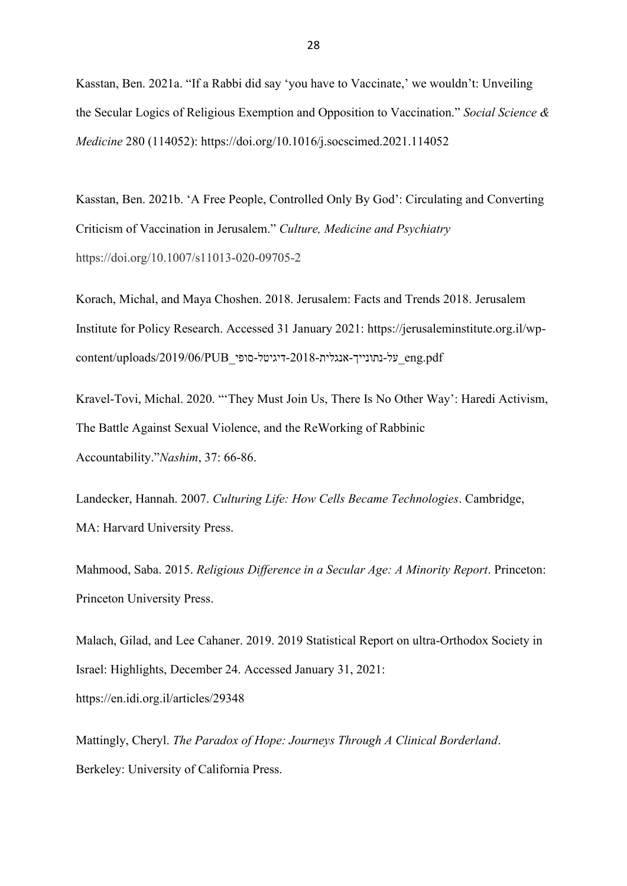Kasstan, Ben. 2021a. "If a Rabbi did say 'you have to Vaccinate,' we wouldn't: Unveiling the Secular Logics of Religious Exemption and Opposition to Vaccination." *Social Science & Medicine* 280 (114052):<https://doi.org/10.1016/j.socscimed.2021.114052>

Kasstan, Ben. 2021b. 'A Free People, Controlled Only By God': Circulating and Converting Criticism of Vaccination in Jerusalem." *Culture, Medicine and Psychiatry* https://doi.org/10.1007/s11013-020-09705-2

Korach, Michal, and Maya Choshen. 2018. Jerusalem: Facts and Trends 2018. Jerusalem Institute for Policy Research. Accessed 31 January 2021: https://jerusaleminstitute.org.il/wpcontent/uploads/2019/06/PUB\_סופי-דיגיטל-2018-אנגלית-נתונייך-על\_eng.pdf

Kravel-Tovi, Michal. 2020. "'They Must Join Us, There Is No Other Way': Haredi Activism, The Battle Against Sexual Violence, and the ReWorking of Rabbinic Accountability."*Nashim*, 37: 66-86.

Landecker, Hannah. 2007. *Culturing Life: How Cells Became Technologies*. Cambridge, MA: Harvard University Press.

Mahmood, Saba. 2015. *Religious Difference in a Secular Age: A Minority Report*. Princeton: Princeton University Press.

Malach, Gilad, and Lee Cahaner. 2019. 2019 Statistical Report on ultra-Orthodox Society in Israel: Highlights, December 24. Accessed January 31, 2021: https://en.idi.org.il/articles/29348

Mattingly, Cheryl. *The Paradox of Hope: Journeys Through A Clinical Borderland*. Berkeley: University of California Press.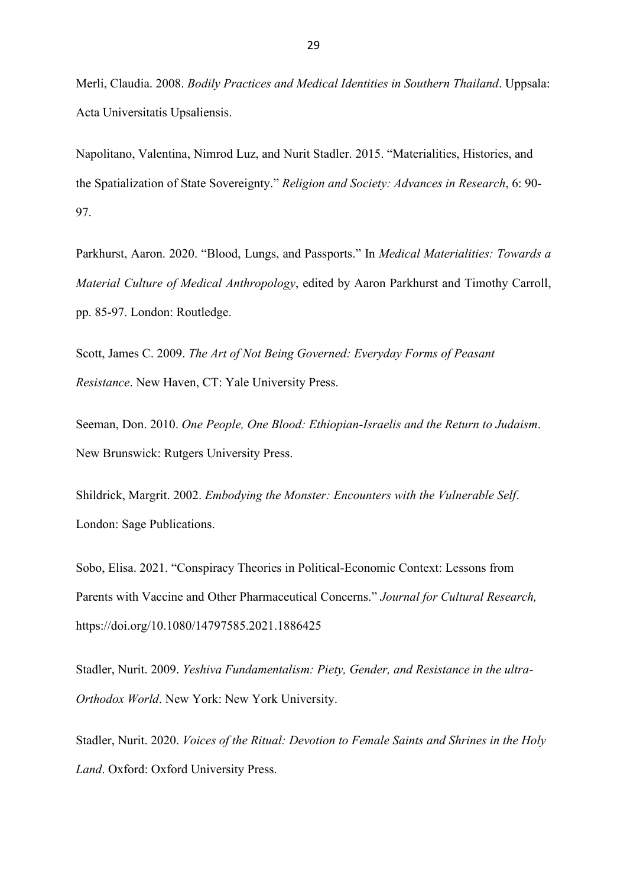Merli, Claudia. 2008. *Bodily Practices and Medical Identities in Southern Thailand*. Uppsala: Acta Universitatis Upsaliensis.

Napolitano, Valentina, Nimrod Luz, and Nurit Stadler. 2015. "Materialities, Histories, and the Spatialization of State Sovereignty." *Religion and Society: Advances in Research*, 6: 90- 97.

Parkhurst, Aaron. 2020. "Blood, Lungs, and Passports." In *Medical Materialities: Towards a Material Culture of Medical Anthropology*, edited by Aaron Parkhurst and Timothy Carroll, pp. 85-97. London: Routledge.

Scott, James C. 2009. *The Art of Not Being Governed: Everyday Forms of Peasant Resistance*. New Haven, CT: Yale University Press.

Seeman, Don. 2010. *One People, One Blood: Ethiopian-Israelis and the Return to Judaism*. New Brunswick: Rutgers University Press.

Shildrick, Margrit. 2002. *Embodying the Monster: Encounters with the Vulnerable Self*. London: Sage Publications.

Sobo, Elisa. 2021. "Conspiracy Theories in Political-Economic Context: Lessons from Parents with Vaccine and Other Pharmaceutical Concerns." *Journal for Cultural Research,*  https://doi.org/10.1080/14797585.2021.1886425

Stadler, Nurit. 2009. *Yeshiva Fundamentalism: Piety, Gender, and Resistance in the ultra-Orthodox World*. New York: New York University.

Stadler, Nurit. 2020. *Voices of the Ritual: Devotion to Female Saints and Shrines in the Holy Land*. Oxford: Oxford University Press.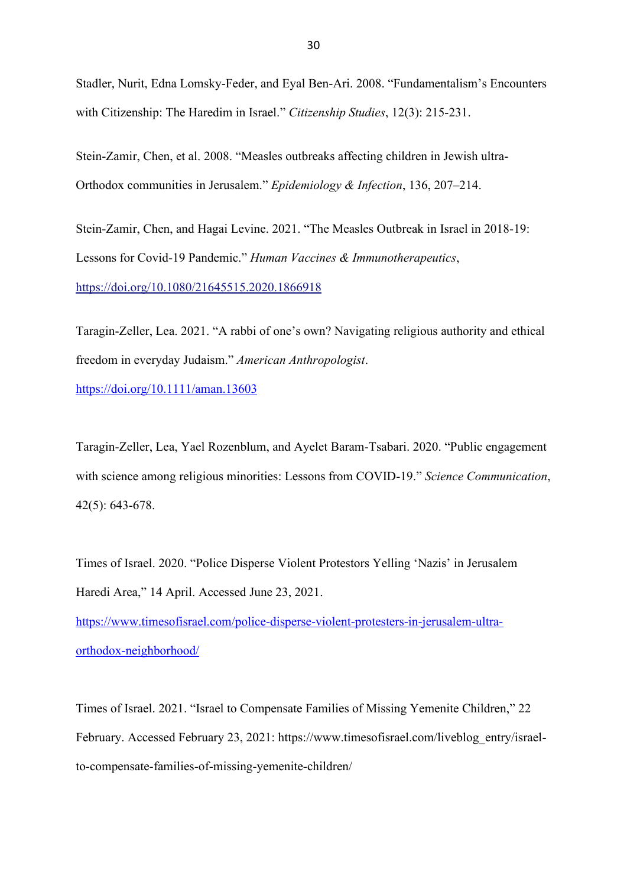Stadler, Nurit, Edna Lomsky-Feder, and Eyal Ben-Ari. 2008. "Fundamentalism's Encounters with Citizenship: The Haredim in Israel." *Citizenship Studies*, 12(3): 215-231.

Stein-Zamir, Chen, et al. 2008. "Measles outbreaks affecting children in Jewish ultra-Orthodox communities in Jerusalem." *Epidemiology & Infection*, 136, 207–214.

Stein-Zamir, Chen, and Hagai Levine. 2021. "The Measles Outbreak in Israel in 2018-19: Lessons for Covid-19 Pandemic." *Human Vaccines & Immunotherapeutics*, <https://doi.org/10.1080/21645515.2020.1866918>

Taragin-Zeller, Lea. 2021. "A rabbi of one's own? Navigating religious authority and ethical freedom in everyday Judaism." *American Anthropologist*.

<https://doi.org/10.1111/aman.13603>

Taragin-Zeller, Lea, Yael Rozenblum, and Ayelet Baram-Tsabari. 2020. "Public engagement with science among religious minorities: Lessons from COVID-19." *Science Communication*, 42(5): 643-678.

Times of Israel. 2020. "Police Disperse Violent Protestors Yelling 'Nazis' in Jerusalem Haredi Area," 14 April. Accessed June 23, 2021.

[https://www.timesofisrael.com/police-disperse-violent-protesters-in-jerusalem-ultra](https://www.timesofisrael.com/police-disperse-violent-protesters-in-jerusalem-ultra-orthodox-neighborhood/)[orthodox-neighborhood/](https://www.timesofisrael.com/police-disperse-violent-protesters-in-jerusalem-ultra-orthodox-neighborhood/)

Times of Israel. 2021. "Israel to Compensate Families of Missing Yemenite Children," 22 February. Accessed February 23, 2021: https://www.timesofisrael.com/liveblog\_entry/israelto-compensate-families-of-missing-yemenite-children/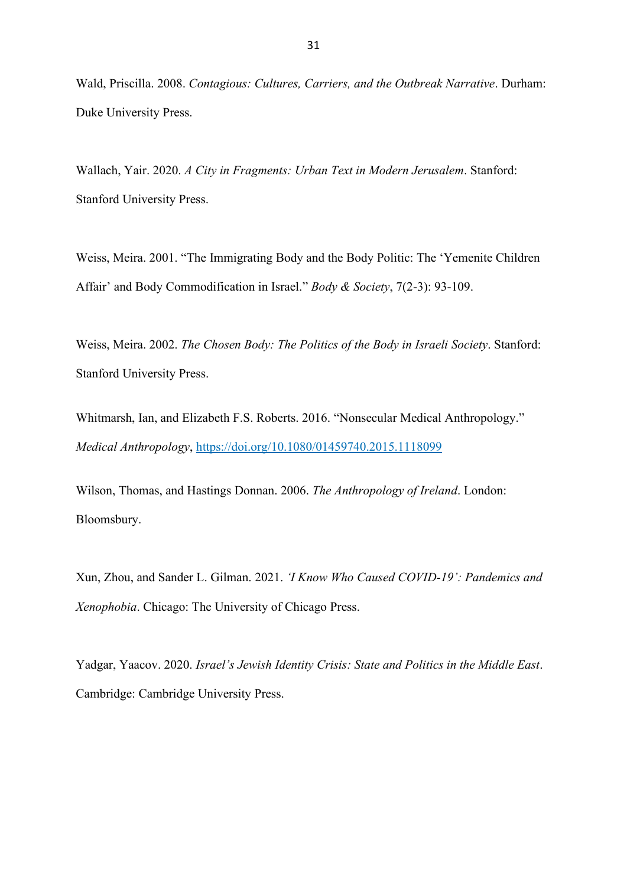Wald, Priscilla. 2008. *Contagious: Cultures, Carriers, and the Outbreak Narrative*. Durham: Duke University Press.

Wallach, Yair. 2020. *A City in Fragments: Urban Text in Modern Jerusalem*. Stanford: Stanford University Press.

Weiss, Meira. 2001. "The Immigrating Body and the Body Politic: The 'Yemenite Children Affair' and Body Commodification in Israel." *Body & Society*, 7(2-3): 93-109.

Weiss, Meira. 2002. *The Chosen Body: The Politics of the Body in Israeli Society*. Stanford: Stanford University Press.

Whitmarsh, Ian, and Elizabeth F.S. Roberts. 2016. "Nonsecular Medical Anthropology." *Medical Anthropology*,<https://doi.org/10.1080/01459740.2015.1118099>

Wilson, Thomas, and Hastings Donnan. 2006. *The Anthropology of Ireland*. London: Bloomsbury.

Xun, Zhou, and Sander L. Gilman. 2021. *'I Know Who Caused COVID-19': Pandemics and Xenophobia*. Chicago: The University of Chicago Press.

Yadgar, Yaacov. 2020. *Israel's Jewish Identity Crisis: State and Politics in the Middle East*. Cambridge: Cambridge University Press.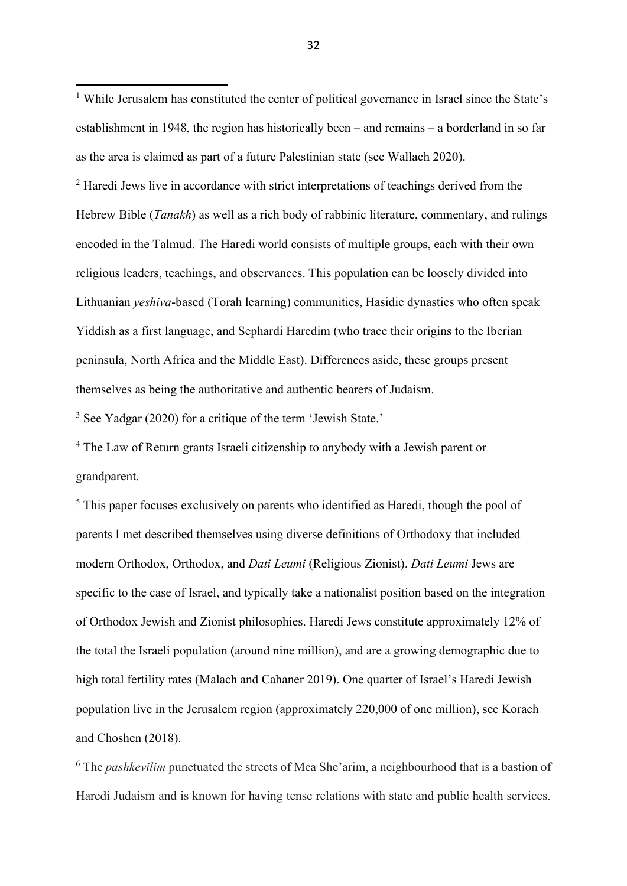<sup>1</sup> While Jerusalem has constituted the center of political governance in Israel since the State's establishment in 1948, the region has historically been – and remains – a borderland in so far as the area is claimed as part of a future Palestinian state (see Wallach 2020).

<sup>2</sup> Haredi Jews live in accordance with strict interpretations of teachings derived from the Hebrew Bible (*Tanakh*) as well as a rich body of rabbinic literature, commentary, and rulings encoded in the Talmud. The Haredi world consists of multiple groups, each with their own religious leaders, teachings, and observances. This population can be loosely divided into Lithuanian *yeshiva*-based (Torah learning) communities, Hasidic dynasties who often speak Yiddish as a first language, and Sephardi Haredim (who trace their origins to the Iberian peninsula, North Africa and the Middle East). Differences aside, these groups present themselves as being the authoritative and authentic bearers of Judaism.

<sup>3</sup> See Yadgar (2020) for a critique of the term 'Jewish State.'

<sup>4</sup> The Law of Return grants Israeli citizenship to anybody with a Jewish parent or grandparent.

<sup>5</sup> This paper focuses exclusively on parents who identified as Haredi, though the pool of parents I met described themselves using diverse definitions of Orthodoxy that included modern Orthodox, Orthodox, and *Dati Leumi* (Religious Zionist). *Dati Leumi* Jews are specific to the case of Israel, and typically take a nationalist position based on the integration of Orthodox Jewish and Zionist philosophies. Haredi Jews constitute approximately 12% of the total the Israeli population (around nine million), and are a growing demographic due to high total fertility rates (Malach and Cahaner 2019). One quarter of Israel's Haredi Jewish population live in the Jerusalem region (approximately 220,000 of one million), see Korach and Choshen (2018).

<sup>6</sup> The *pashkevilim* punctuated the streets of Mea She'arim, a neighbourhood that is a bastion of Haredi Judaism and is known for having tense relations with state and public health services.

32